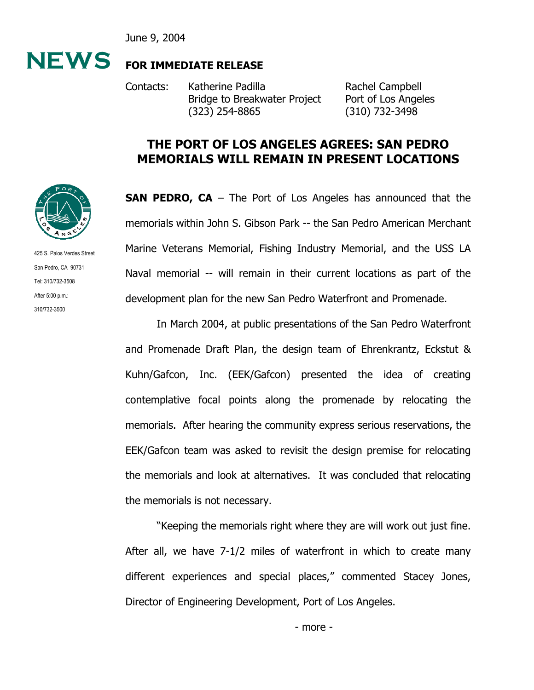June 9, 2004



## **FOR IMMEDIATE RELEASE**

Contacts: Katherine Padilla Rachel Campbell Bridge to Breakwater Project Port of Los Angeles (323) 254-8865 (310) 732-3498

## **THE PORT OF LOS ANGELES AGREES: SAN PEDRO MEMORIALS WILL REMAIN IN PRESENT LOCATIONS**

**SAN PEDRO, CA** – The Port of Los Angeles has announced that the memorials within John S. Gibson Park -- the San Pedro American Merchant Marine Veterans Memorial, Fishing Industry Memorial, and the USS LA Naval memorial -- will remain in their current locations as part of the development plan for the new San Pedro Waterfront and Promenade.

In March 2004, at public presentations of the San Pedro Waterfront and Promenade Draft Plan, the design team of Ehrenkrantz, Eckstut & Kuhn/Gafcon, Inc. (EEK/Gafcon) presented the idea of creating contemplative focal points along the promenade by relocating the memorials. After hearing the community express serious reservations, the EEK/Gafcon team was asked to revisit the design premise for relocating the memorials and look at alternatives. It was concluded that relocating the memorials is not necessary.

"Keeping the memorials right where they are will work out just fine. After all, we have 7-1/2 miles of waterfront in which to create many different experiences and special places," commented Stacey Jones, Director of Engineering Development, Port of Los Angeles.



425 S. Palos Verdes Street San Pedro, CA 90731 Tel: 310/732-3508 After 5:00 p.m.: 310/732-3500